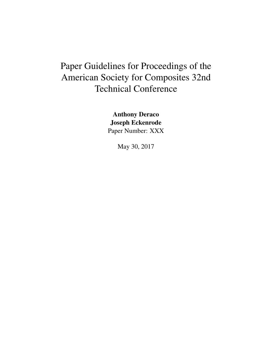# Paper Guidelines for Proceedings of the American Society for Composites 32nd Technical Conference

Anthony Deraco Joseph Eckenrode Paper Number: XXX

May 30, 2017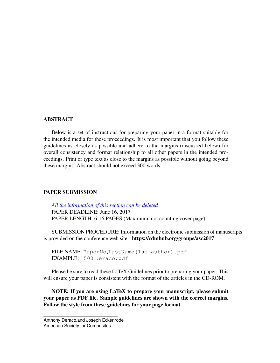# ABSTRACT

Below is a set of instructions for preparing your paper in a format suitable for the intended media for these proceedings. It is most important that you follow these guidelines as closely as possible and adhere to the margins (discussed below) for overall consistency and format relationship to all other papers in the intended proceedings. Print or type text as close to the margins as possible without going beyond these margins. Abstract should not exceed 300 words.

# PAPER SUBMISSION

*All the information of this section can be deleted* PAPER DEADLINE: June 16, 2017 PAPER LENGTH: 6-16 PAGES (Maximum, not counting cover page)

SUBMISSION PROCEDURE: Information on the electronic submission of manuscripts is provided on the conference web site - https://cdmhub.org/groups/asc2017

FILE NAME: PaperNo LastName(1st author).pdf EXAMPLE: 1500 Deraco.pdf

Please be sure to read these LaTeX Guidelines prior to preparing your paper. This will ensure your paper is consistent with the format of the articles in the CD-ROM.

NOTE: If you are using LaTeX to prepare your manuscript, please submit your paper as PDF file. Sample guidelines are shown with the correct margins. Follow the style from these guidelines for your page format.

Anthony Deraco,and Joseph Eckenrode American Society for Composites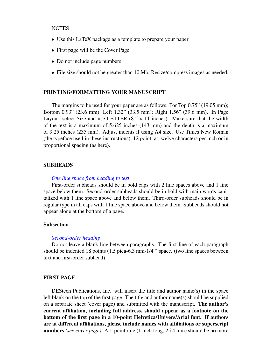## **NOTES**

- Use this LaTeX package as a template to prepare your paper
- First page will be the Cover Page
- Do not include page numbers
- File size should not be greater than 10 Mb. Resize/compress images as needed.

#### PRINTING/FORMATTING YOUR MANUSCRIPT

The margins to be used for your paper are as follows: For Top 0.75" (19.05 mm); Bottom 0.93" (23.6 mm); Left 1.32" (33.5 mm); Right 1.56" (39.6 mm). In Page Layout, select Size and use LETTER (8.5 x 11 inches). Make sure that the width of the text is a maximum of 5.625 inches (143 mm) and the depth is a maximum of 9.25 inches (235 mm). Adjust indents if using A4 size. Use Times New Roman (the typeface used in these instructions), 12 point, at twelve characters per inch or in proportional spacing (as here).

## **SUBHEADS**

#### *One line space from heading to text*

First-order subheads should be in bold caps with 2 line spaces above and 1 line space below them. Second-order subheads should be in bold with main words capitalized with 1 line space above and below them. Third-order subheads should be in regular type in all caps with 1 line space above and below them. Subheads should not appear alone at the bottom of a page.

## Subsection

#### *Second-order heading*

Do not leave a blank line between paragraphs. The first line of each paragraph should be indented 18 points (1.5 pica-6.3 mm-1/4") space. (two line spaces between text and first-order subhead)

# FIRST PAGE

DEStech Publications, Inc. will insert the title and author name(s) in the space left blank on the top of the first page. The title and author name(s) should be supplied on a separate sheet (cover page) and submitted with the manuscript. The author's current affiliation, including full address, should appear as a footnote on the bottom of the first page in a 10-point Helvetica/Univers/Arial font. If authors are at different affiliations, please include names with affiliations or superscript numbers *(see cover page)*. A 1-point rule (1 inch long, 25.4 mm) should be no more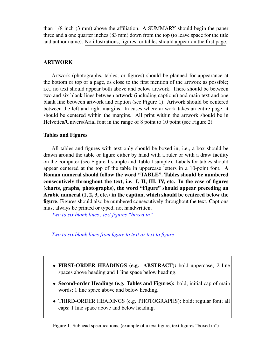than 1/8 inch (3 mm) above the affiliation. A SUMMARY should begin the paper three and a one quarter inches (83 mm) down from the top (to leave space for the title and author name). No illustrations, figures, or tables should appear on the first page.

# ARTWORK

Artwork (photographs, tables, or figures) should be planned for appearance at the bottom or top of a page, as close to the first mention of the artwork as possible; i.e., no text should appear both above and below artwork. There should be between two and six blank lines between artwork (including captions) and main text and one blank line between artwork and caption (see Figure [1\)](#page-3-0). Artwork should be centered between the left and right margins. In cases where artwork takes an entire page, it should be centered within the margins. All print within the artwork should be in Helvetica/Univers/Arial font in the range of 8 point to 10 point (see Figure [2\)](#page-4-0).

## Tables and Figures

All tables and figures with text only should be boxed in; i.e., a box should be drawn around the table or figure either by hand with a ruler or with a draw facility on the computer (see Figure [1](#page-3-0) sample and Table [I](#page-4-1) sample). Labels for tables should appear centered at the top of the table in uppercase letters in a 10-point font. A Roman numeral should follow the word "TABLE". Tables should be numbered consecutively throughout the text, i.e. I, II, III, IV, etc. In the case of figures (charts, graphs, photographs), the word "Figure" should appear preceding an Arabic numeral (1, 2, 3, etc.) in the caption, which should be centered below the figure. Figures should also be numbered consecutively throughout the text. Captions must always be printed or typed, not handwritten.

*Two to six blank lines , text figures "boxed in"*

#### *Two to six blank lines from figure to text or text to figure*

- <span id="page-3-0"></span>• FIRST-ORDER HEADINGS (e.g. ABSTRACT): bold uppercase; 2 line spaces above heading and 1 line space below heading.
- Second-order Headings (e.g. Tables and Figures): bold; initial cap of main words; 1 line space above and below heading.
- THIRD-ORDER HEADINGS (e.g. PHOTOGRAPHS): bold; regular font; all caps; 1 line space above and below heading.

Figure 1. Subhead specifications, (example of a text figure, text figures "boxed in")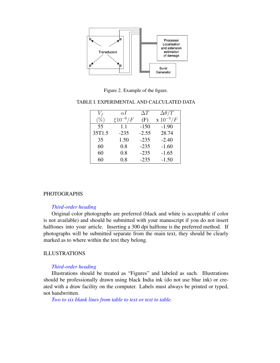<span id="page-4-0"></span>

Figure 2. Example of the figure.

| $V_f$  | $\alpha I$      | $\Delta T$ | $\Delta\theta/T$  |
|--------|-----------------|------------|-------------------|
| $(\%)$ | $\xi 10^{-6}/F$ | (F)        | $\rm x 10^{-3}/F$ |
| 55     | 1.1             | $-150$     | $-1.90$           |
| 35T1.5 | $-235$          | $-2.55$    | 28.74             |
| 35     | 1.50            | $-235$     | $-2.40$           |
| 60     | 0.8             | $-235$     | $-1.60$           |
| 60     | 0.8             | $-235$     | $-1.65$           |
| 60     | 0.8             | $-235$     | $-1.50$           |

# <span id="page-4-1"></span>TABLE I. EXPERIMENTAL AND CALCULATED DATA

## PHOTOGRAPHS

# *Third-order heading*

Original color photographs are preferred (black and white is acceptable if color is not available) and should be submitted with your manuscript if you do not insert halftones into your article. Inserting a 300 dpi halftone is the preferred method. If photographs will be submitted separate from the main text, they should be clearly marked as to where within the text they belong.

# ILLUSTRATIONS

## *Third-order heading*

Illustrations should be treated as "Figures" and labeled as such. Illustrations should be professionally drawn using black India ink (do not use blue ink) or created with a draw facility on the computer. Labels must always be printed or typed, not handwritten.

*Two to six blank lines from table to text or text to table.*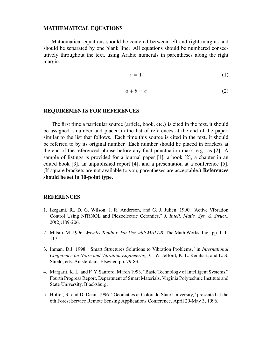#### MATHEMATICAL EQUATIONS

Mathematical equations should be centered between left and right margins and should be separated by one blank line. All equations should be numbered consecutively throughout the text, using Arabic numerals in parentheses along the right margin.

$$
i = 1 \tag{1}
$$

$$
a + b = c \tag{2}
$$

#### REQUIREMENTS FOR REFERENCES

The first time a particular source (article, book, etc.) is cited in the text, it should be assigned a number and placed in the list of references at the end of the paper, similar to the list that follows. Each time this source is cited in the text, it should be referred to by its original number. Each number should be placed in brackets at the end of the referenced phrase before any final punctuation mark, e.g., as [2]. A sample of listings is provided for a journal paper [\[1\]](#page-5-0), a book [\[2\]](#page-5-1), a chapter in an edited book [\[3\]](#page-5-2), an unpublished report [\[4\]](#page-5-3), and a presentation at a conference [\[5\]](#page-5-4). (If square brackets are not available to you, parentheses are acceptable.) References should be set in 10-point type.

#### REFERENCES

- <span id="page-5-0"></span>1. Ikegami, R., D. G. Wilson, J. R. Anderson, and G. J. Julien. 1990. "Active Vibration Control Using NiTiNOL and Piezoelectric Ceramics," *J. Intell. Matls. Sys. & Struct.*, 20(2):189-206.
- <span id="page-5-1"></span>2. Mitsiti, M. 1996. *Wavelet Toolbox, For Use with MALAB*. The Math Works, Inc., pp. 111- 117.
- <span id="page-5-2"></span>3. Inman, D.J. 1998. "Smart Structures Solutions to Vibration Problems," in *International Conference on Noise and Vibration Engineering*, C. W. Jefford, K. L. Reinhart, and L. S. Shield, eds. Amsterdam: Elsevier, pp. 79-83.
- <span id="page-5-3"></span>4. Margarit, K. L. and F. Y. Sanford. March 1993. "Basic Technology of Intelligent Systems," Fourth Progress Report, Department of Smart Materials, Virginia Polytechnic Institute and State University, Blacksburg.
- <span id="page-5-4"></span>5. Hoffer, R. and D. Dean. 1996. "Geomatics at Colorado State University," presented at the 6th Forest Service Remote Sensing Applications Conference, April 29-May 3, 1996.